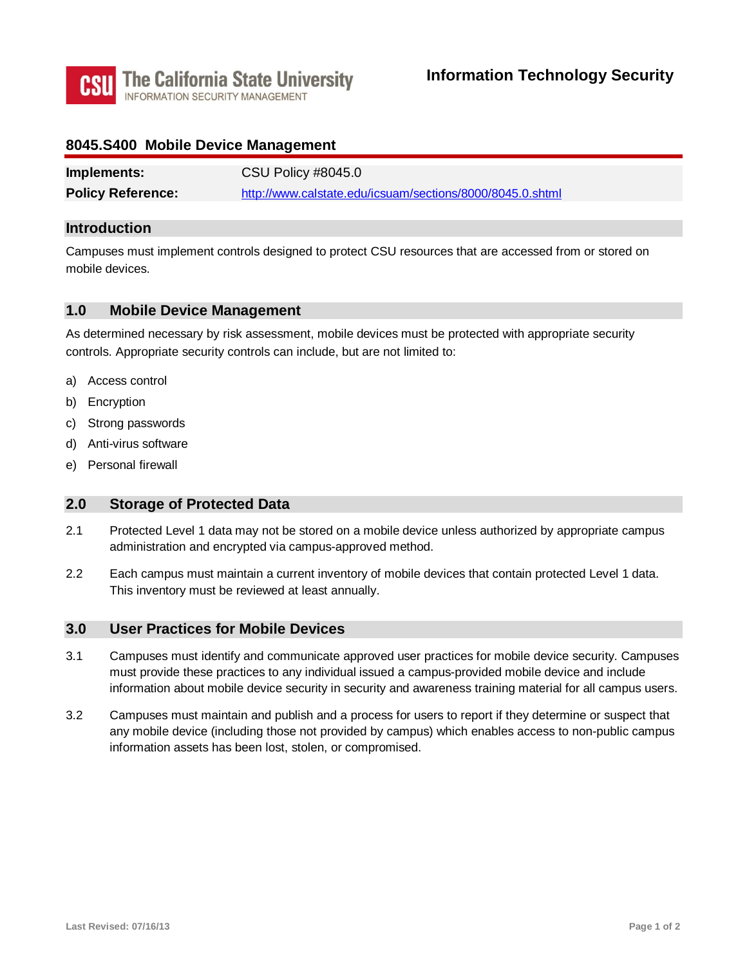

## **8045.S400 Mobile Device Management**

| Implements:              | CSU Policy #8045.0                                        |
|--------------------------|-----------------------------------------------------------|
| <b>Policy Reference:</b> | http://www.calstate.edu/icsuam/sections/8000/8045.0.shtml |

#### **Introduction**

Campuses must implement controls designed to protect CSU resources that are accessed from or stored on mobile devices.

## **1.0 Mobile Device Management**

As determined necessary by risk assessment, mobile devices must be protected with appropriate security controls. Appropriate security controls can include, but are not limited to:

- a) Access control
- b) Encryption
- c) Strong passwords
- d) Anti-virus software
- e) Personal firewall

#### **2.0 Storage of Protected Data**

- 2.1 Protected Level 1 data may not be stored on a mobile device unless authorized by appropriate campus administration and encrypted via campus-approved method.
- 2.2 Each campus must maintain a current inventory of mobile devices that contain protected Level 1 data. This inventory must be reviewed at least annually.

## **3.0 User Practices for Mobile Devices**

- 3.1 Campuses must identify and communicate approved user practices for mobile device security. Campuses must provide these practices to any individual issued a campus-provided mobile device and include information about mobile device security in security and awareness training material for all campus users.
- 3.2 Campuses must maintain and publish and a process for users to report if they determine or suspect that any mobile device (including those not provided by campus) which enables access to non-public campus information assets has been lost, stolen, or compromised.